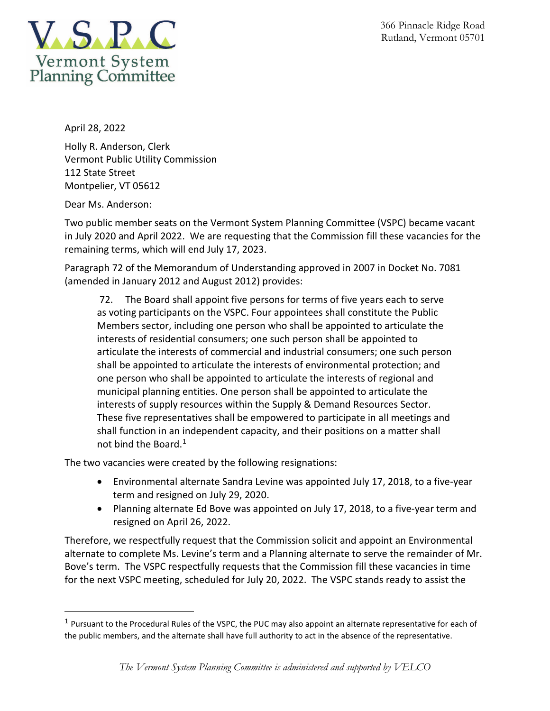



April 28, 2022

Holly R. Anderson, Clerk Vermont Public Utility Commission 112 State Street Montpelier, VT 05612

Dear Ms. Anderson:

Two public member seats on the Vermont System Planning Committee (VSPC) became vacant in July 2020 and April 2022. We are requesting that the Commission fill these vacancies for the remaining terms, which will end July 17, 2023.

Paragraph 72 of the Memorandum of Understanding approved in 2007 in Docket No. 7081 (amended in January 2012 and August 2012) provides:

72. The Board shall appoint five persons for terms of five years each to serve as voting participants on the VSPC. Four appointees shall constitute the Public Members sector, including one person who shall be appointed to articulate the interests of residential consumers; one such person shall be appointed to articulate the interests of commercial and industrial consumers; one such person shall be appointed to articulate the interests of environmental protection; and one person who shall be appointed to articulate the interests of regional and municipal planning entities. One person shall be appointed to articulate the interests of supply resources within the Supply & Demand Resources Sector. These five representatives shall be empowered to participate in all meetings and shall function in an independent capacity, and their positions on a matter shall not bind the Board.<sup>[1](#page-0-0)</sup>

The two vacancies were created by the following resignations:

- Environmental alternate Sandra Levine was appointed July 17, 2018, to a five-year term and resigned on July 29, 2020.
- Planning alternate Ed Bove was appointed on July 17, 2018, to a five-year term and resigned on April 26, 2022.

Therefore, we respectfully request that the Commission solicit and appoint an Environmental alternate to complete Ms. Levine's term and a Planning alternate to serve the remainder of Mr. Bove's term. The VSPC respectfully requests that the Commission fill these vacancies in time for the next VSPC meeting, scheduled for July 20, 2022. The VSPC stands ready to assist the

<span id="page-0-0"></span> $1$  Pursuant to the Procedural Rules of the VSPC, the PUC may also appoint an alternate representative for each of the public members, and the alternate shall have full authority to act in the absence of the representative.